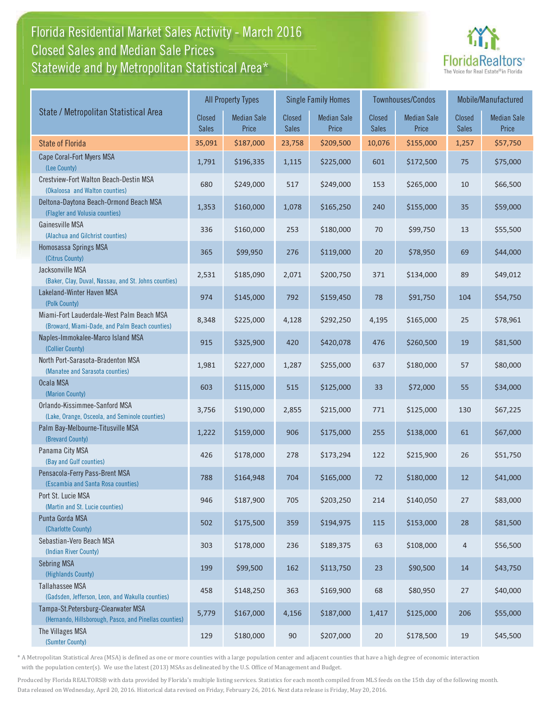### Florida Residential Market Sales Activity - March 2016 Statewide and by Metropolitan Statistical Area $^{\star}$ Closed Sales and Median Sale Prices



|                                                                                              |                               | <b>All Property Types</b>   |                        | <b>Single Family Homes</b>  |                        | <b>Townhouses/Condos</b>    | Mobile/Manufactured           |                             |  |
|----------------------------------------------------------------------------------------------|-------------------------------|-----------------------------|------------------------|-----------------------------|------------------------|-----------------------------|-------------------------------|-----------------------------|--|
| State / Metropolitan Statistical Area                                                        | <b>Closed</b><br><b>Sales</b> | <b>Median Sale</b><br>Price | <b>Closed</b><br>Sales | <b>Median Sale</b><br>Price | Closed<br><b>Sales</b> | <b>Median Sale</b><br>Price | <b>Closed</b><br><b>Sales</b> | <b>Median Sale</b><br>Price |  |
| <b>State of Florida</b>                                                                      | 35,091                        | \$187,000                   | 23,758                 | \$209,500                   | 10,076                 | \$155,000                   | 1,257                         | \$57,750                    |  |
| Cape Coral-Fort Myers MSA<br>(Lee County)                                                    | 1,791                         | \$196,335                   | 1,115                  | \$225,000                   | 601                    | \$172,500                   | 75                            | \$75,000                    |  |
| Crestview-Fort Walton Beach-Destin MSA<br>(Okaloosa and Walton counties)                     | 680                           | \$249,000                   | 517                    | \$249,000                   | 153                    | \$265,000                   | 10                            | \$66,500                    |  |
| Deltona-Daytona Beach-Ormond Beach MSA<br>(Flagler and Volusia counties)                     | 1,353                         | \$160,000                   | 1,078                  | \$165,250                   | 240                    | \$155,000                   | 35                            | \$59,000                    |  |
| Gainesville MSA<br>(Alachua and Gilchrist counties)                                          | 336                           | \$160,000                   | 253                    | \$180,000                   | 70                     | \$99,750                    | 13                            | \$55,500                    |  |
| Homosassa Springs MSA<br>(Citrus County)                                                     | 365                           | \$99,950                    | 276                    | \$119,000                   | 20                     | \$78,950                    | 69                            | \$44,000                    |  |
| Jacksonville MSA<br>(Baker, Clay, Duval, Nassau, and St. Johns counties)                     | 2,531                         | \$185,090                   | 2,071                  | \$200,750                   | 371                    | \$134,000                   | 89                            | \$49,012                    |  |
| Lakeland-Winter Haven MSA<br>(Polk County)                                                   | 974                           | \$145,000                   | 792                    | \$159,450                   | 78                     | \$91,750                    | 104                           | \$54,750                    |  |
| Miami-Fort Lauderdale-West Palm Beach MSA<br>(Broward, Miami-Dade, and Palm Beach counties)  | 8,348                         | \$225,000                   | 4,128                  | \$292,250                   | 4,195                  | \$165,000                   | 25                            | \$78,961                    |  |
| Naples-Immokalee-Marco Island MSA<br>(Collier County)                                        | 915                           | \$325,900                   | 420                    | \$420,078                   | 476                    | \$260,500                   | 19                            | \$81,500                    |  |
| North Port-Sarasota-Bradenton MSA<br>(Manatee and Sarasota counties)                         | 1,981                         | \$227,000                   | 1,287                  | \$255,000                   | 637                    | \$180,000                   | 57                            | \$80,000                    |  |
| Ocala MSA<br>(Marion County)                                                                 | 603                           | \$115,000                   | 515                    | \$125,000                   | 33                     | \$72,000                    | 55                            | \$34,000                    |  |
| Orlando-Kissimmee-Sanford MSA<br>(Lake, Orange, Osceola, and Seminole counties)              | 3,756                         | \$190,000                   | 2,855                  | \$215,000                   | 771                    | \$125,000                   | 130                           | \$67,225                    |  |
| Palm Bay-Melbourne-Titusville MSA<br>(Brevard County)                                        | 1,222                         | \$159,000                   | 906                    | \$175,000                   | 255                    | \$138,000                   | 61                            | \$67,000                    |  |
| Panama City MSA<br>(Bay and Gulf counties)                                                   | 426                           | \$178,000                   | 278                    | \$173,294                   | 122                    | \$215,900                   | 26                            | \$51,750                    |  |
| Pensacola-Ferry Pass-Brent MSA<br>(Escambia and Santa Rosa counties)                         | 788                           | \$164,948                   | 704                    | \$165,000                   | 72                     | \$180,000                   | 12                            | \$41,000                    |  |
| Port St. Lucie MSA<br>(Martin and St. Lucie counties)                                        | 946                           | \$187,900                   | 705                    | \$203,250                   | 214                    | \$140,050                   | 27                            | \$83,000                    |  |
| Punta Gorda MSA<br>(Charlotte County)                                                        | 502                           | \$175,500                   | 359                    | \$194,975                   | 115                    | \$153,000                   | 28                            | \$81,500                    |  |
| Sebastian-Vero Beach MSA<br>(Indian River County)                                            | 303                           | \$178,000                   | 236                    | \$189,375                   | 63                     | \$108,000                   | 4                             | \$56,500                    |  |
| <b>Sebring MSA</b><br>(Highlands County)                                                     | 199                           | \$99,500                    | 162                    | \$113,750                   | 23                     | \$90,500                    | 14                            | \$43,750                    |  |
| <b>Tallahassee MSA</b><br>(Gadsden, Jefferson, Leon, and Wakulla counties)                   | 458                           | \$148,250                   | 363                    | \$169,900                   | 68                     | \$80,950                    | 27                            | \$40,000                    |  |
| Tampa-St.Petersburg-Clearwater MSA<br>(Hernando, Hillsborough, Pasco, and Pinellas counties) | 5,779                         | \$167,000                   | 4,156                  | \$187,000                   | 1,417                  | \$125,000                   | 206                           | \$55,000                    |  |
| The Villages MSA<br>(Sumter County)                                                          | 129                           | \$180,000                   | 90                     | \$207,000                   | $20\,$                 | \$178,500                   | 19                            | \$45,500                    |  |

\* A Metropolitan Statistical Area (MSA) is defined as one or more counties with a large population center and adjacent counties that have a high degree of economic interaction with the population center(s). We use the latest (2013) MSAs as delineated by the U.S. Office of Management and Budget.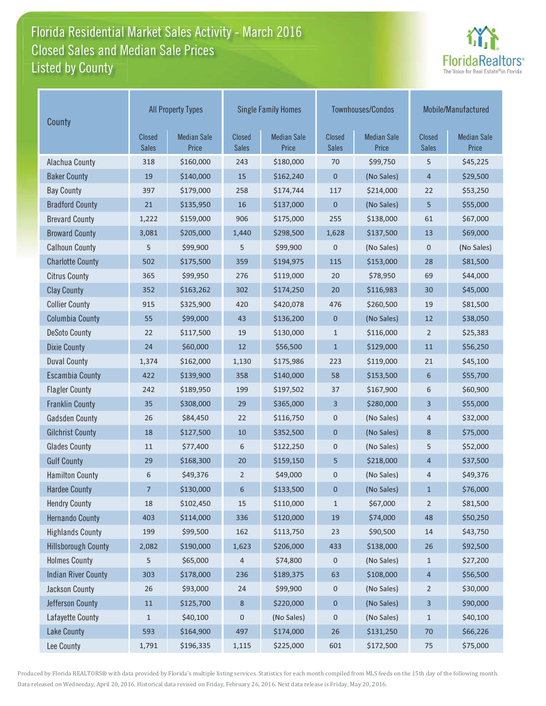### Florida Residential Market Sales Activity - March 2016 Listed by County-Closed Sales and Median Sale Prices



| County                     |                               | <b>All Property Types</b>   |                        | <b>Single Family Homes</b>  |                        | Townhouses/Condos           | Mobile/Manufactured      |                             |
|----------------------------|-------------------------------|-----------------------------|------------------------|-----------------------------|------------------------|-----------------------------|--------------------------|-----------------------------|
|                            | <b>Closed</b><br><b>Sales</b> | <b>Median Sale</b><br>Price | Closed<br><b>Sales</b> | <b>Median Sale</b><br>Price | Closed<br><b>Sales</b> | <b>Median Sale</b><br>Price | Closed<br><b>Sales</b>   | <b>Median Sale</b><br>Price |
| Alachua County             | 318                           | \$160,000                   | 243                    | \$180,000                   | 70                     | \$99,750                    | 5                        | \$45,225                    |
| <b>Baker County</b>        | 19                            | \$140,000                   | 15                     | \$162,240                   | $\mathbf 0$            | (No Sales)                  | 4                        | \$29,500                    |
| <b>Bay County</b>          | 397                           | \$179,000                   | 258                    | \$174,744                   | 117                    | \$214,000                   | 22                       | \$53,250                    |
| <b>Bradford County</b>     | 21                            | \$135,950                   | 16                     | \$137,000                   | $\mathbf{0}$           | (No Sales)                  | 5                        | \$55,000                    |
| <b>Brevard County</b>      | 1,222                         | \$159,000                   | 906                    | \$175,000                   | 255                    | \$138,000                   | 61                       | \$67,000                    |
| <b>Broward County</b>      | 3,081                         | \$205,000                   | 1,440                  | \$298,500                   | 1,628                  | \$137,500                   | 13                       | \$69,000                    |
| <b>Calhoun County</b>      | 5                             | \$99,900                    | 5                      | \$99,900                    | $\mathbf 0$            | (No Sales)                  | $\mathbf 0$              | (No Sales)                  |
| <b>Charlotte County</b>    | 502                           | \$175,500                   | 359                    | \$194,975                   | 115                    | \$153,000                   | 28                       | \$81,500                    |
| <b>Citrus County</b>       | 365                           | \$99,950                    | 276                    | \$119,000                   | 20                     | \$78,950                    | 69                       | \$44,000                    |
| <b>Clay County</b>         | 352                           | \$163,262                   | 302                    | \$174,250                   | 20                     | \$116,983                   | 30                       | \$45,000                    |
| <b>Collier County</b>      | 915                           | \$325,900                   | 420                    | \$420,078                   | 476                    | \$260,500                   | 19                       | \$81,500                    |
| <b>Columbia County</b>     | 55                            | \$99,000                    | 43                     | \$136,200                   | $\pmb{0}$              | (No Sales)                  | 12                       | \$38,050                    |
| <b>DeSoto County</b>       | 22                            | \$117,500                   | 19                     | \$130,000                   | $\mathbf{1}$           | \$116,000                   | $\overline{2}$           | \$25,383                    |
| <b>Dixie County</b>        | 24                            | \$60,000                    | 12                     | \$56,500                    | $\mathbf{1}$           | \$129,000                   | 11                       | \$56,250                    |
| <b>Duval County</b>        | 1,374                         | \$162,000                   | 1,130                  | \$175,986                   | 223                    | \$119,000                   | 21                       | \$45,100                    |
| <b>Escambia County</b>     | 422                           | \$139,900                   | 358                    | \$140,000                   | 58                     | \$153,500                   | 6                        | \$55,700                    |
| <b>Flagler County</b>      | 242                           | \$189,950                   | 199                    | \$197,502                   | 37                     | \$167,900                   | 6                        | \$60,900                    |
| <b>Franklin County</b>     | 35                            | \$308,000                   | 29                     | \$365,000                   | $\overline{3}$         | \$280,000                   | 3                        | \$55,000                    |
| <b>Gadsden County</b>      | 26                            | \$84,450                    | 22                     | \$116,750                   | $\pmb{0}$              | (No Sales)                  | 4                        | \$32,000                    |
| <b>Gilchrist County</b>    | 18                            | \$127,500                   | 10                     | \$352,500                   | $\mathbf 0$            | (No Sales)                  | 8                        | \$75,000                    |
| <b>Glades County</b>       | $11\,$                        | \$77,400                    | 6                      | \$122,250                   | $\mathbf 0$            | (No Sales)                  | 5                        | \$52,000                    |
| <b>Gulf County</b>         | 29                            | \$168,300                   | 20                     | \$159,150                   | 5                      | \$218,000                   | 4                        | \$37,500                    |
| <b>Hamilton County</b>     | 6                             | \$49,376                    | $\overline{2}$         | \$49,000                    | $\mathbf 0$            | (No Sales)                  | 4                        | \$49,376                    |
| <b>Hardee County</b>       | 7                             | \$130,000                   | 6                      | \$133,500                   | $\mathbf 0$            | (No Sales)                  | 1                        | \$76,000                    |
| <b>Hendry County</b>       | 18                            | \$102,450                   | 15                     | \$110,000                   | $\mathbf{1}$           | \$67,000                    | $\overline{2}$           | \$81,500                    |
| <b>Hernando County</b>     | 403                           | \$114,000                   | 336                    | \$120,000                   | 19                     | \$74,000                    | 48                       | \$50,250                    |
| <b>Highlands County</b>    | 199                           | \$99,500                    | 162                    | \$113,750                   | 23                     | \$90,500                    | 14                       | \$43,750                    |
| <b>Hillsborough County</b> | 2,082                         | \$190,000                   | 1,623                  | \$206,000                   | 433                    | \$138,000                   | 26                       | \$92,500                    |
| <b>Holmes County</b>       | 5                             | \$65,000                    | 4                      | \$74,800                    | 0                      | (No Sales)                  | $\mathbf{1}$             | \$27,200                    |
| <b>Indian River County</b> | 303                           | \$178,000                   | 236                    | \$189,375                   | 63                     | \$108,000                   | $\overline{\mathcal{L}}$ | \$56,500                    |
| Jackson County             | 26                            | \$93,000                    | 24                     | \$99,900                    | $\mathbf 0$            | (No Sales)                  | 2                        | \$30,000                    |
| Jefferson County           | $11\,$                        | \$125,700                   | 8                      | \$220,000                   | $\pmb{0}$              | (No Sales)                  | 3                        | \$90,000                    |
| Lafayette County           | $\mathbf 1$                   | \$40,100                    | $\pmb{0}$              | (No Sales)                  | $\pmb{0}$              | (No Sales)                  | $\mathbf{1}$             | \$40,100                    |
| <b>Lake County</b>         | 593                           | \$164,900                   | 497                    | \$174,000                   | $26$                   | \$131,250                   | $70$                     | \$66,226                    |
| Lee County                 | 1,791                         | \$196,335                   | 1,115                  | \$225,000                   | 601                    | \$172,500                   | 75                       | \$75,000                    |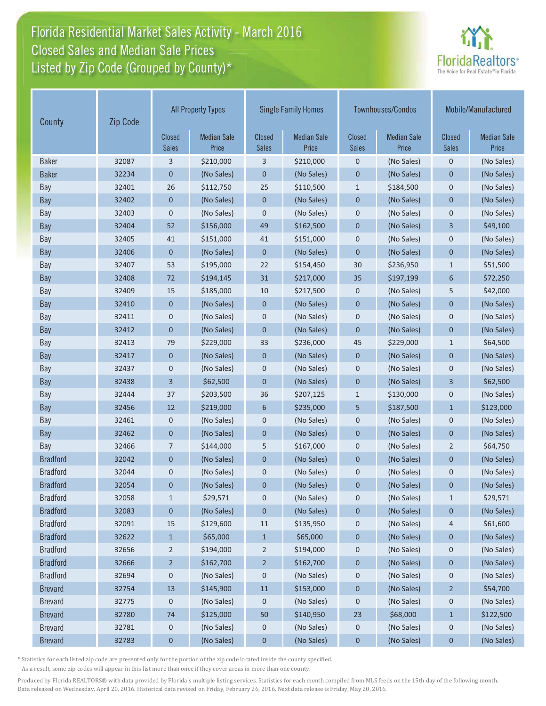# Florida Residential Market Sales Activity - March 2016 Closed Sales and Median Sale Prices  $\quad \equiv$ Listed by Zip Code (Grouped by County)\*



| County          | Zip Code | <b>All Property Types</b>     |                             |                               | <b>Single Family Homes</b>  |                               | Townhouses/Condos           | Mobile/Manufactured           |                             |
|-----------------|----------|-------------------------------|-----------------------------|-------------------------------|-----------------------------|-------------------------------|-----------------------------|-------------------------------|-----------------------------|
|                 |          | <b>Closed</b><br><b>Sales</b> | <b>Median Sale</b><br>Price | <b>Closed</b><br><b>Sales</b> | <b>Median Sale</b><br>Price | <b>Closed</b><br><b>Sales</b> | <b>Median Sale</b><br>Price | <b>Closed</b><br><b>Sales</b> | <b>Median Sale</b><br>Price |
| <b>Baker</b>    | 32087    | 3                             | \$210,000                   | 3                             | \$210,000                   | $\mathbf 0$                   | (No Sales)                  | $\mathbf 0$                   | (No Sales)                  |
| <b>Baker</b>    | 32234    | 0                             | (No Sales)                  | $\pmb{0}$                     | (No Sales)                  | $\theta$                      | (No Sales)                  | $\mathbf 0$                   | (No Sales)                  |
| Bay             | 32401    | 26                            | \$112,750                   | 25                            | \$110,500                   | $\mathbf{1}$                  | \$184,500                   | $\mathbf 0$                   | (No Sales)                  |
| <b>Bay</b>      | 32402    | 0                             | (No Sales)                  | $\mathbf 0$                   | (No Sales)                  | $\mathbf 0$                   | (No Sales)                  | $\mathbf{0}$                  | (No Sales)                  |
| Bay             | 32403    | 0                             | (No Sales)                  | $\mathbf 0$                   | (No Sales)                  | $\mathbf 0$                   | (No Sales)                  | $\mathbf 0$                   | (No Sales)                  |
| <b>Bay</b>      | 32404    | 52                            | \$156,000                   | 49                            | \$162,500                   | $\mathbf{0}$                  | (No Sales)                  | 3                             | \$49,100                    |
| Bay             | 32405    | 41                            | \$151,000                   | 41                            | \$151,000                   | $\mathbf{0}$                  | (No Sales)                  | $\mathbf 0$                   | (No Sales)                  |
| Bay             | 32406    | $\mathbf{0}$                  | (No Sales)                  | $\mathbf 0$                   | (No Sales)                  | $\overline{0}$                | (No Sales)                  | $\mathbf{0}$                  | (No Sales)                  |
| Bay             | 32407    | 53                            | \$195,000                   | 22                            | \$154,450                   | 30                            | \$236,950                   | $\mathbf{1}$                  | \$51,500                    |
| Bay             | 32408    | 72                            | \$194,145                   | 31                            | \$217,000                   | 35                            | \$197,199                   | 6                             | \$72,250                    |
| Bay             | 32409    | 15                            | \$185,000                   | 10                            | \$217,500                   | $\mathbf 0$                   | (No Sales)                  | 5                             | \$42,000                    |
| <b>Bay</b>      | 32410    | $\mathbf 0$                   | (No Sales)                  | $\mathbf 0$                   | (No Sales)                  | $\mathbf 0$                   | (No Sales)                  | $\mathbf{0}$                  | (No Sales)                  |
| Bay             | 32411    | 0                             | (No Sales)                  | $\mathbf 0$                   | (No Sales)                  | $\mathbf 0$                   | (No Sales)                  | $\mathbf 0$                   | (No Sales)                  |
| Bay             | 32412    | 0                             | (No Sales)                  | $\mathbf 0$                   | (No Sales)                  | $\mathbf 0$                   | (No Sales)                  | $\mathbf 0$                   | (No Sales)                  |
| Bay             | 32413    | 79                            | \$229,000                   | 33                            | \$236,000                   | 45                            | \$229,000                   | $\mathbf{1}$                  | \$64,500                    |
| Bay             | 32417    | 0                             | (No Sales)                  | 0                             | (No Sales)                  | $\mathbf 0$                   | (No Sales)                  | $\mathbf 0$                   | (No Sales)                  |
| Bay             | 32437    | 0                             | (No Sales)                  | $\pmb{0}$                     | (No Sales)                  | $\mathbf 0$                   | (No Sales)                  | $\mathbf 0$                   | (No Sales)                  |
| Bay             | 32438    | 3                             | \$62,500                    | $\mathbf 0$                   | (No Sales)                  | $\mathbf 0$                   | (No Sales)                  | 3                             | \$62,500                    |
| Bay             | 32444    | 37                            | \$203,500                   | 36                            | \$207,125                   | $\mathbf{1}$                  | \$130,000                   | $\mathbf 0$                   | (No Sales)                  |
| Bay             | 32456    | 12                            | \$219,000                   | 6                             | \$235,000                   | 5                             | \$187,500                   | $\mathbf{1}$                  | \$123,000                   |
| Bay             | 32461    | 0                             | (No Sales)                  | 0                             | (No Sales)                  | $\mathbf 0$                   | (No Sales)                  | $\mathbf 0$                   | (No Sales)                  |
| Bay             | 32462    | 0                             | (No Sales)                  | $\mathbf 0$                   | (No Sales)                  | $\mathbf 0$                   | (No Sales)                  | $\mathbf{0}$                  | (No Sales)                  |
| Bay             | 32466    | 7                             | \$144,000                   | 5                             | \$167,000                   | $\mathbf 0$                   | (No Sales)                  | $\overline{2}$                | \$64,750                    |
| <b>Bradford</b> | 32042    | 0                             | (No Sales)                  | $\pmb{0}$                     | (No Sales)                  | $\mathbf 0$                   | (No Sales)                  | $\mathbf 0$                   | (No Sales)                  |
| <b>Bradford</b> | 32044    | 0                             | (No Sales)                  | 0                             | (No Sales)                  | $\mathbf 0$                   | (No Sales)                  | $\mathbf 0$                   | (No Sales)                  |
| <b>Bradford</b> | 32054    | 0                             | (No Sales)                  | 0                             | (No Sales)                  | $\mathbf 0$                   | (No Sales)                  | 0                             | (No Sales)                  |
| <b>Bradford</b> | 32058    | $\mathbf{1}$                  | \$29,571                    | 0                             | (No Sales)                  | 0                             | (No Sales)                  | $\mathbf{1}$                  | \$29,571                    |
| <b>Bradford</b> | 32083    | 0                             | (No Sales)                  | 0                             | (No Sales)                  | $\boldsymbol{0}$              | (No Sales)                  | $\bf{0}$                      | (No Sales)                  |
| <b>Bradford</b> | 32091    | 15                            | \$129,600                   | 11                            | \$135,950                   | 0                             | (No Sales)                  | 4                             | \$61,600                    |
| <b>Bradford</b> | 32622    | $\mathbf{1}$                  | \$65,000                    | $\mathbf{1}$                  | \$65,000                    | $\boldsymbol{0}$              | (No Sales)                  | $\pmb{0}$                     | (No Sales)                  |
| <b>Bradford</b> | 32656    | 2                             | \$194,000                   | $\overline{2}$                | \$194,000                   | $\boldsymbol{0}$              | (No Sales)                  | $\boldsymbol{0}$              | (No Sales)                  |
| <b>Bradford</b> | 32666    | $\overline{2}$                | \$162,700                   | $\overline{2}$                | \$162,700                   | $\boldsymbol{0}$              | (No Sales)                  | $\mathbf 0$                   | (No Sales)                  |
| <b>Bradford</b> | 32694    | 0                             | (No Sales)                  | 0                             | (No Sales)                  | 0                             | (No Sales)                  | $\mathbf 0$                   | (No Sales)                  |
| <b>Brevard</b>  | 32754    | 13                            | \$145,900                   | 11                            | \$153,000                   | $\boldsymbol{0}$              | (No Sales)                  | $\overline{2}$                | \$54,700                    |
| <b>Brevard</b>  | 32775    | 0                             | (No Sales)                  | 0                             | (No Sales)                  | 0                             | (No Sales)                  | $\boldsymbol{0}$              | (No Sales)                  |
| <b>Brevard</b>  | 32780    | 74                            | \$125,000                   | 50                            | \$140,950                   | 23                            | \$68,000                    | $\mathbf{1}$                  | \$122,500                   |
| <b>Brevard</b>  | 32781    | 0                             | (No Sales)                  | 0                             | (No Sales)                  | $\mathbf 0$                   | (No Sales)                  | $\mathbf 0$                   | (No Sales)                  |
| <b>Brevard</b>  | 32783    | 0                             | (No Sales)                  | 0                             | (No Sales)                  | $\boldsymbol{0}$              | (No Sales)                  | 0                             | (No Sales)                  |

\* Statistics for each listed zip code are presented only for the portion of the zip code located inside the county specified.

As a result, some zip codes will appear in this list more than once if they cover areas in more than one county.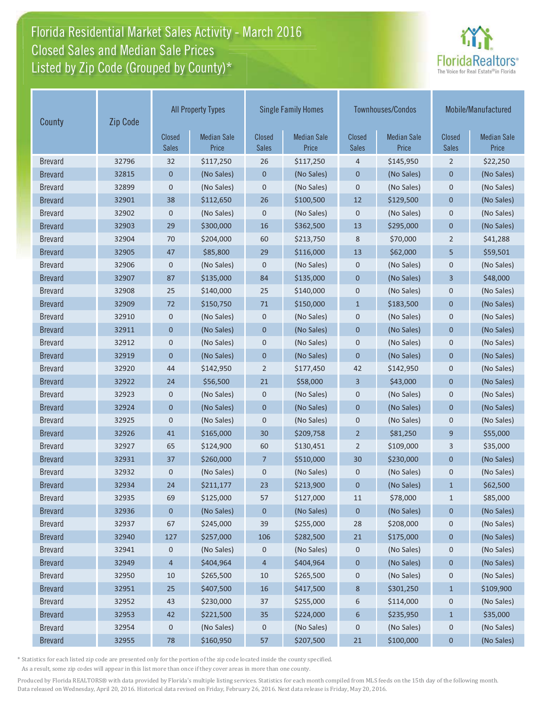# Florida Residential Market Sales Activity - March 2016 Closed Sales and Median Sale Prices  $\quad \equiv$ Listed by Zip Code (Grouped by County)\*



| County         | Zip Code | <b>All Property Types</b>     |                             | <b>Single Family Homes</b>    |                             |                               | Townhouses/Condos           | Mobile/Manufactured           |                             |
|----------------|----------|-------------------------------|-----------------------------|-------------------------------|-----------------------------|-------------------------------|-----------------------------|-------------------------------|-----------------------------|
|                |          | <b>Closed</b><br><b>Sales</b> | <b>Median Sale</b><br>Price | <b>Closed</b><br><b>Sales</b> | <b>Median Sale</b><br>Price | <b>Closed</b><br><b>Sales</b> | <b>Median Sale</b><br>Price | <b>Closed</b><br><b>Sales</b> | <b>Median Sale</b><br>Price |
| <b>Brevard</b> | 32796    | 32                            | \$117,250                   | 26                            | \$117,250                   | $\overline{4}$                | \$145,950                   | $\overline{2}$                | \$22,250                    |
| <b>Brevard</b> | 32815    | 0                             | (No Sales)                  | $\mathbf 0$                   | (No Sales)                  | $\mathbf 0$                   | (No Sales)                  | $\mathbf 0$                   | (No Sales)                  |
| <b>Brevard</b> | 32899    | 0                             | (No Sales)                  | 0                             | (No Sales)                  | $\mathbf 0$                   | (No Sales)                  | $\mathbf 0$                   | (No Sales)                  |
| <b>Brevard</b> | 32901    | 38                            | \$112,650                   | 26                            | \$100,500                   | 12                            | \$129,500                   | $\mathbf 0$                   | (No Sales)                  |
| <b>Brevard</b> | 32902    | 0                             | (No Sales)                  | $\mathbf 0$                   | (No Sales)                  | $\mathbf 0$                   | (No Sales)                  | $\mathbf 0$                   | (No Sales)                  |
| <b>Brevard</b> | 32903    | 29                            | \$300,000                   | 16                            | \$362,500                   | 13                            | \$295,000                   | $\mathbf 0$                   | (No Sales)                  |
| <b>Brevard</b> | 32904    | 70                            | \$204,000                   | 60                            | \$213,750                   | 8                             | \$70,000                    | $\overline{2}$                | \$41,288                    |
| <b>Brevard</b> | 32905    | 47                            | \$85,800                    | 29                            | \$116,000                   | 13                            | \$62,000                    | 5                             | \$59,501                    |
| <b>Brevard</b> | 32906    | 0                             | (No Sales)                  | 0                             | (No Sales)                  | $\mathbf 0$                   | (No Sales)                  | $\mathbf 0$                   | (No Sales)                  |
| <b>Brevard</b> | 32907    | 87                            | \$135,000                   | 84                            | \$135,000                   | $\mathbf 0$                   | (No Sales)                  | 3                             | \$48,000                    |
| <b>Brevard</b> | 32908    | 25                            | \$140,000                   | 25                            | \$140,000                   | $\mathbf 0$                   | (No Sales)                  | $\mathbf 0$                   | (No Sales)                  |
| <b>Brevard</b> | 32909    | 72                            | \$150,750                   | 71                            | \$150,000                   | $1\,$                         | \$183,500                   | $\mathbf 0$                   | (No Sales)                  |
| <b>Brevard</b> | 32910    | 0                             | (No Sales)                  | $\pmb{0}$                     | (No Sales)                  | $\mathbf 0$                   | (No Sales)                  | $\mathbf 0$                   | (No Sales)                  |
| <b>Brevard</b> | 32911    | 0                             | (No Sales)                  | $\mathbf 0$                   | (No Sales)                  | $\mathbf 0$                   | (No Sales)                  | $\mathbf 0$                   | (No Sales)                  |
| <b>Brevard</b> | 32912    | 0                             | (No Sales)                  | $\mathbf 0$                   | (No Sales)                  | $\mathbf 0$                   | (No Sales)                  | $\mathbf 0$                   | (No Sales)                  |
| <b>Brevard</b> | 32919    | 0                             | (No Sales)                  | 0                             | (No Sales)                  | $\mathbf 0$                   | (No Sales)                  | $\mathbf 0$                   | (No Sales)                  |
| <b>Brevard</b> | 32920    | 44                            | \$142,950                   | $\overline{2}$                | \$177,450                   | 42                            | \$142,950                   | $\mathbf 0$                   | (No Sales)                  |
| <b>Brevard</b> | 32922    | 24                            | \$56,500                    | 21                            | \$58,000                    | $\overline{3}$                | \$43,000                    | $\mathbf 0$                   | (No Sales)                  |
| <b>Brevard</b> | 32923    | 0                             | (No Sales)                  | $\mathbf 0$                   | (No Sales)                  | $\mathbf 0$                   | (No Sales)                  | $\mathbf 0$                   | (No Sales)                  |
| <b>Brevard</b> | 32924    | $\mathbf{0}$                  | (No Sales)                  | $\mathbf{0}$                  | (No Sales)                  | $\overline{0}$                | (No Sales)                  | $\overline{0}$                | (No Sales)                  |
| <b>Brevard</b> | 32925    | 0                             | (No Sales)                  | 0                             | (No Sales)                  | $\mathbf 0$                   | (No Sales)                  | $\mathbf 0$                   | (No Sales)                  |
| <b>Brevard</b> | 32926    | 41                            | \$165,000                   | 30                            | \$209,758                   | $\overline{2}$                | \$81,250                    | 9                             | \$55,000                    |
| <b>Brevard</b> | 32927    | 65                            | \$124,900                   | 60                            | \$130,451                   | $\overline{2}$                | \$109,000                   | 3                             | \$35,000                    |
| <b>Brevard</b> | 32931    | 37                            | \$260,000                   | $\overline{7}$                | \$510,000                   | 30                            | \$230,000                   | $\mathbf 0$                   | (No Sales)                  |
| <b>Brevard</b> | 32932    | 0                             | (No Sales)                  | 0                             | (No Sales)                  | $\mathbf 0$                   | (No Sales)                  | $\mathbf 0$                   | (No Sales)                  |
| <b>Brevard</b> | 32934    | 24                            | \$211,177                   | 23                            | \$213,900                   | $\mathbf 0$                   | (No Sales)                  | $\mathbf{1}$                  | \$62,500                    |
| <b>Brevard</b> | 32935    | 69                            | \$125,000                   | 57                            | \$127,000                   | 11                            | \$78,000                    | $\mathbf{1}$                  | \$85,000                    |
| <b>Brevard</b> | 32936    | 0                             | (No Sales)                  | 0                             | (No Sales)                  | $\mathbf 0$                   | (No Sales)                  | 0                             | (No Sales)                  |
| <b>Brevard</b> | 32937    | 67                            | \$245,000                   | 39                            | \$255,000                   | 28                            | \$208,000                   | 0                             | (No Sales)                  |
| <b>Brevard</b> | 32940    | 127                           | \$257,000                   | 106                           | \$282,500                   | 21                            | \$175,000                   | $\pmb{0}$                     | (No Sales)                  |
| <b>Brevard</b> | 32941    | 0                             | (No Sales)                  | 0                             | (No Sales)                  | 0                             | (No Sales)                  | 0                             | (No Sales)                  |
| <b>Brevard</b> | 32949    | 4                             | \$404,964                   | $\overline{4}$                | \$404,964                   | $\pmb{0}$                     | (No Sales)                  | $\pmb{0}$                     | (No Sales)                  |
| <b>Brevard</b> | 32950    | 10                            | \$265,500                   | 10                            | \$265,500                   | $\mathbf 0$                   | (No Sales)                  | $\mathbf 0$                   | (No Sales)                  |
| <b>Brevard</b> | 32951    | 25                            | \$407,500                   | $16\,$                        | \$417,500                   | $\bf 8$                       | \$301,250                   | $\mathbf{1}$                  | \$109,900                   |
| <b>Brevard</b> | 32952    | 43                            | \$230,000                   | 37                            | \$255,000                   | 6                             | \$114,000                   | $\mathbf 0$                   | (No Sales)                  |
| <b>Brevard</b> | 32953    | 42                            | \$221,500                   | 35                            | \$224,000                   | 6                             | \$235,950                   | $\mathbf{1}$                  | \$35,000                    |
| <b>Brevard</b> | 32954    | 0                             | (No Sales)                  | 0                             | (No Sales)                  | $\mathsf{O}\xspace$           | (No Sales)                  | $\mathbf 0$                   | (No Sales)                  |
| <b>Brevard</b> | 32955    | 78                            | \$160,950                   | 57                            | \$207,500                   | 21                            | \$100,000                   | $\pmb{0}$                     | (No Sales)                  |

\* Statistics for each listed zip code are presented only for the portion of the zip code located inside the county specified.

As a result, some zip codes will appear in this list more than once if they cover areas in more than one county.